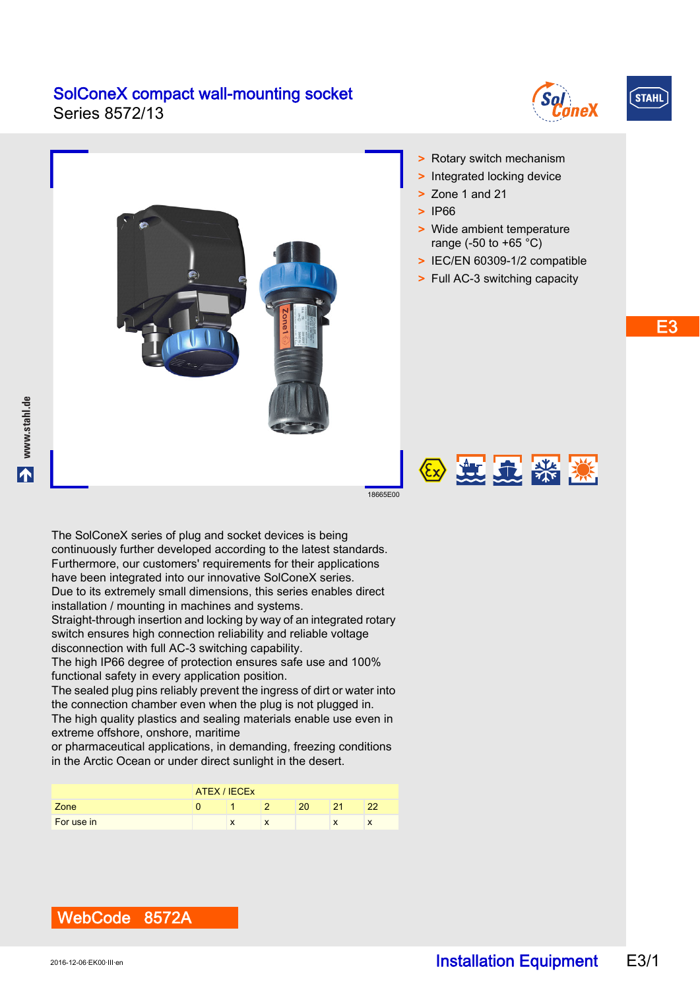Series 8572/13





E3



WebCode 8572A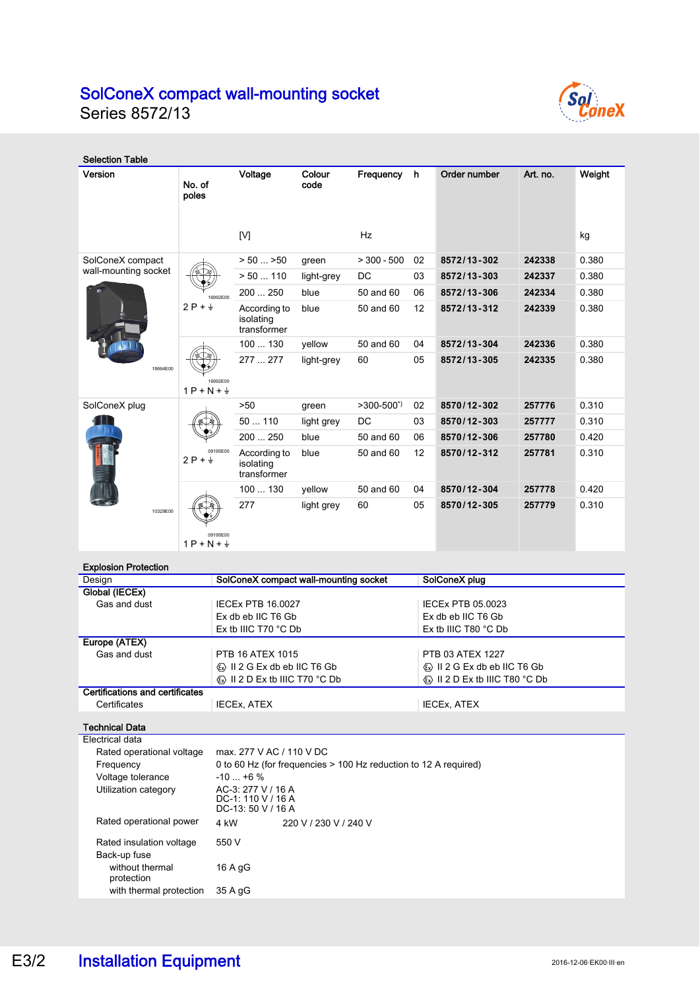Series 8572/13



| <b>Selection Table</b>      |                                    |                                          |                |                     |    |               |          |        |
|-----------------------------|------------------------------------|------------------------------------------|----------------|---------------------|----|---------------|----------|--------|
| Version                     | No. of<br>poles                    | Voltage                                  | Colour<br>code | Frequency           | h  | Order number  | Art. no. | Weight |
|                             |                                    | [V]                                      |                | Hz                  |    |               |          | kg     |
| SolConeX compact            |                                    | $> 50$ $>50$                             | green          | $> 300 - 500$       | 02 | 8572/13-302   | 242338   | 0.380  |
| wall-mounting socket        |                                    | $> 50$ 110                               | light-grey     | <b>DC</b>           | 03 | 8572/13-303   | 242337   | 0.380  |
|                             | 16992E00<br>$2P + \frac{1}{2}$     | 200  250                                 | blue           | 50 and 60           | 06 | 8572/13-306   | 242334   | 0.380  |
|                             |                                    | According to<br>isolating<br>transformer | blue           | 50 and 60           | 12 | 8572/13-312   | 242339   | 0.380  |
|                             |                                    | 100  130                                 | vellow         | 50 and 60           | 04 | 8572/13-304   | 242336   | 0.380  |
| 18664E00                    | 16992E00<br>$1P + N + \frac{1}{2}$ | 277  277                                 | light-grey     | 60                  | 05 | 8572/13-305   | 242335   | 0.380  |
| SolConeX plug               | 09195E00<br>$2P + \frac{1}{2}$     | >50                                      | green          | $>300-500^{\prime}$ | 02 | 8570/12-302   | 257776   | 0.310  |
|                             |                                    | 50110                                    | light grey     | <b>DC</b>           | 03 | 8570/12-303   | 257777   | 0.310  |
|                             |                                    | 200  250                                 | blue           | 50 and 60           | 06 | 8570/12-306   | 257780   | 0.420  |
|                             |                                    | According to<br>isolating<br>transformer | blue           | 50 and 60           | 12 | 8570/12-312   | 257781   | 0.310  |
|                             |                                    | 100  130                                 | yellow         | 50 and 60           | 04 | 8570/12-304   | 257778   | 0.420  |
| 10329E00                    | 09195E00<br>$1P + N + \frac{1}{2}$ | 277                                      | light grey     | 60                  | 05 | 8570/12-305   | 257779   | 0.310  |
| <b>Explosion Protection</b> |                                    |                                          |                |                     |    |               |          |        |
| Design                      |                                    | SolConeX compact wall-mounting socket    |                |                     |    | SolConeX plug |          |        |
| Global (IECEx)              |                                    |                                          |                |                     |    |               |          |        |

| ----                            | <b>POIDDING COMPANY MAIL MORNING OCCION</b>                         | <b>OUIDUILUZ PIUM</b>                                               |  |  |  |
|---------------------------------|---------------------------------------------------------------------|---------------------------------------------------------------------|--|--|--|
| Global (IECEx)                  |                                                                     |                                                                     |  |  |  |
| Gas and dust                    | <b>IECEX PTB 16,0027</b>                                            | IECEx PTB 05,0023                                                   |  |  |  |
|                                 | Ex db eb IIC T6 Gb                                                  | Ex db eb IIC T6 Gb                                                  |  |  |  |
|                                 | Ex tb IIIC T70 $^{\circ}$ C Db                                      | Ex tb IIIC T80 $^{\circ}$ C Db                                      |  |  |  |
| Europe (ATEX)                   |                                                                     |                                                                     |  |  |  |
| Gas and dust                    | PTB 16 ATEX 1015                                                    | PTB 03 ATEX 1227                                                    |  |  |  |
|                                 | $\otimes$ II 2 G Ex db eb IIC T6 Gb                                 | $\otimes$ II 2 G Ex db eb IIC T6 Gb                                 |  |  |  |
|                                 | $\langle \overline{\mathbb{Q}} \rangle$ II 2 D Ex tb IIIC T70 °C Db | $\langle \overline{\mathbb{Q}} \rangle$ II 2 D Ex tb IIIC T80 °C Db |  |  |  |
| Certifications and certificates |                                                                     |                                                                     |  |  |  |
| Certificates                    | <b>IECEX. ATEX</b>                                                  | <b>IECEX, ATEX</b>                                                  |  |  |  |

Technical Data

|                           | Electrical data                          |                                                                  |                       |  |  |  |
|---------------------------|------------------------------------------|------------------------------------------------------------------|-----------------------|--|--|--|
| Rated operational voltage |                                          | max. 277 V AC / 110 V DC                                         |                       |  |  |  |
|                           | Frequency                                | 0 to 60 Hz (for frequencies > 100 Hz reduction to 12 A required) |                       |  |  |  |
| Voltage tolerance         |                                          | $-10$ $+6$ %                                                     |                       |  |  |  |
|                           | Utilization category                     | AC-3: 277 V / 16 A<br>$DC-1:110 V/16 A$<br>$DC-13:50 V/16 A$     |                       |  |  |  |
|                           | Rated operational power                  | 4 kW                                                             | 220 V / 230 V / 240 V |  |  |  |
|                           | Rated insulation voltage<br>Back-up fuse | 550 V                                                            |                       |  |  |  |
|                           | without thermal<br>protection            | 16 A gG                                                          |                       |  |  |  |
|                           | with thermal protection                  | 35 A gG                                                          |                       |  |  |  |
|                           |                                          |                                                                  |                       |  |  |  |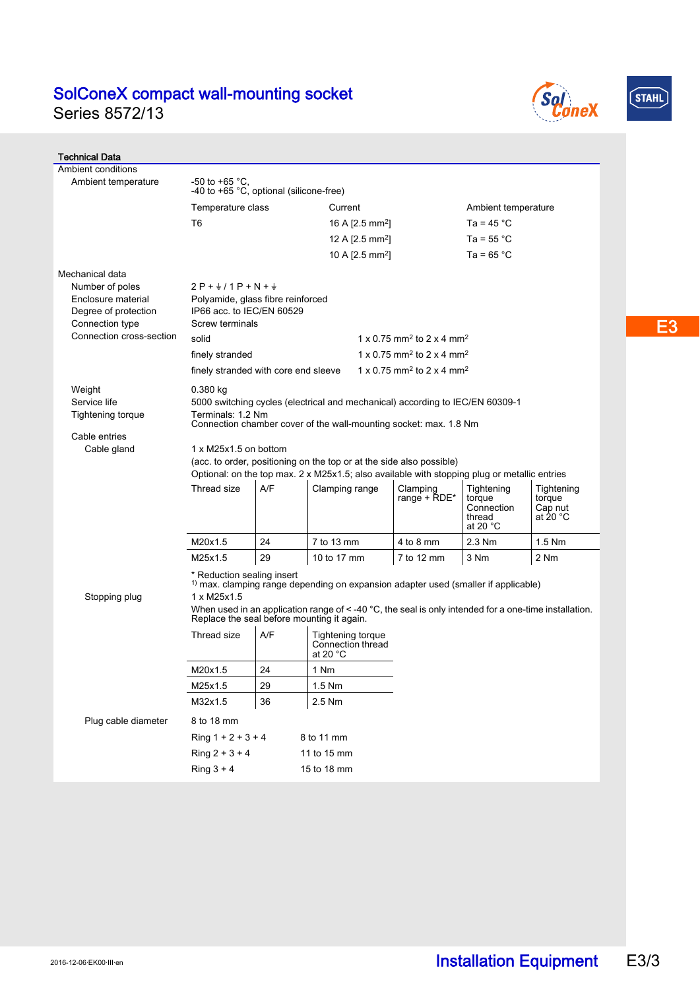Series 8572/13





| <b>Technical Data</b>                                                                                                           |                                                                                                                                                                                                                                                                                              |     |                                                             |                                                   |                                                                    |                                             |  |
|---------------------------------------------------------------------------------------------------------------------------------|----------------------------------------------------------------------------------------------------------------------------------------------------------------------------------------------------------------------------------------------------------------------------------------------|-----|-------------------------------------------------------------|---------------------------------------------------|--------------------------------------------------------------------|---------------------------------------------|--|
| Ambient conditions                                                                                                              |                                                                                                                                                                                                                                                                                              |     |                                                             |                                                   |                                                                    |                                             |  |
| Ambient temperature                                                                                                             | -50 to +65 °C.<br>-40 to +65 °C, optional (silicone-free)                                                                                                                                                                                                                                    |     |                                                             |                                                   |                                                                    |                                             |  |
|                                                                                                                                 | Temperature class                                                                                                                                                                                                                                                                            |     | Current                                                     |                                                   | Ambient temperature                                                |                                             |  |
|                                                                                                                                 | T <sub>6</sub>                                                                                                                                                                                                                                                                               |     | 16 A $[2.5 \text{ mm}^2]$                                   |                                                   | Ta = $45^{\circ}$ C                                                |                                             |  |
|                                                                                                                                 |                                                                                                                                                                                                                                                                                              |     |                                                             | 12 A [2.5 mm <sup>2</sup> ]                       | Ta = $55^{\circ}$ C                                                |                                             |  |
|                                                                                                                                 |                                                                                                                                                                                                                                                                                              |     | 10 A $[2.5$ mm <sup>2</sup> ]                               |                                                   | Ta = $65^{\circ}$ C                                                |                                             |  |
| Mechanical data<br>Number of poles<br>Enclosure material<br>Degree of protection<br>Connection type<br>Connection cross-section | $2P + \frac{1}{2}$ / 1 P + N + $\frac{1}{2}$<br>Polyamide, glass fibre reinforced<br>IP66 acc. to IEC/EN 60529<br>Screw terminals<br>$1 \times 0.75$ mm <sup>2</sup> to $2 \times 4$ mm <sup>2</sup><br>solid                                                                                |     |                                                             |                                                   |                                                                    |                                             |  |
|                                                                                                                                 | finely stranded                                                                                                                                                                                                                                                                              |     |                                                             | 1 x 0.75 mm <sup>2</sup> to 2 x 4 mm <sup>2</sup> |                                                                    |                                             |  |
|                                                                                                                                 | finely stranded with core end sleeve                                                                                                                                                                                                                                                         |     |                                                             | 1 x 0.75 mm <sup>2</sup> to 2 x 4 mm <sup>2</sup> |                                                                    |                                             |  |
| Weight<br>Service life<br>Tightening torque<br>Cable entries<br>Cable gland                                                     | $0.380$ kg<br>5000 switching cycles (electrical and mechanical) according to IEC/EN 60309-1<br>Terminals: 1.2 Nm<br>Connection chamber cover of the wall-mounting socket: max. 1.8 Nm<br>1 x M25x1.5 on bottom                                                                               |     |                                                             |                                                   |                                                                    |                                             |  |
|                                                                                                                                 | (acc. to order, positioning on the top or at the side also possible)<br>Optional: on the top max. 2 x M25x1.5; also available with stopping plug or metallic entries                                                                                                                         |     |                                                             |                                                   |                                                                    |                                             |  |
|                                                                                                                                 |                                                                                                                                                                                                                                                                                              |     |                                                             |                                                   |                                                                    |                                             |  |
|                                                                                                                                 | Thread size                                                                                                                                                                                                                                                                                  | A/F | Clamping range                                              | Clamping<br>range + RDE*                          | Tightening<br>torque<br>Connection<br>thread<br>at 20 $^{\circ}$ C | Tightening<br>torque<br>Cap nut<br>at 20 °C |  |
|                                                                                                                                 | M20x1.5                                                                                                                                                                                                                                                                                      | 24  | 7 to 13 mm                                                  | 4 to 8 mm                                         | 2.3 Nm                                                             | $1.5$ Nm                                    |  |
|                                                                                                                                 | M25x1.5                                                                                                                                                                                                                                                                                      | 29  | 10 to 17 mm                                                 | 7 to 12 mm                                        | 3 Nm                                                               | 2 Nm                                        |  |
| Stopping plug                                                                                                                   | * Reduction sealing insert<br>$1$ max. clamping range depending on expansion adapter used (smaller if applicable)<br>1 x M25x1.5<br>When used in an application range of $\leq$ -40 °C, the seal is only intended for a one-time installation.<br>Replace the seal before mounting it again. |     |                                                             |                                                   |                                                                    |                                             |  |
|                                                                                                                                 | Thread size                                                                                                                                                                                                                                                                                  | A/F | <b>Tightening torque</b><br>Connection thread<br>at 20 $°C$ |                                                   |                                                                    |                                             |  |
|                                                                                                                                 | M20x1.5                                                                                                                                                                                                                                                                                      | 24  | 1 Nm                                                        |                                                   |                                                                    |                                             |  |
|                                                                                                                                 | M25x1.5                                                                                                                                                                                                                                                                                      | 29  | 1.5 Nm                                                      |                                                   |                                                                    |                                             |  |
|                                                                                                                                 | M32x1.5                                                                                                                                                                                                                                                                                      | 36  | 2.5 Nm                                                      |                                                   |                                                                    |                                             |  |
| Plug cable diameter                                                                                                             | 8 to 18 mm                                                                                                                                                                                                                                                                                   |     |                                                             |                                                   |                                                                    |                                             |  |
|                                                                                                                                 | Ring $1 + 2 + 3 + 4$<br>8 to 11 mm                                                                                                                                                                                                                                                           |     |                                                             |                                                   |                                                                    |                                             |  |
|                                                                                                                                 | $Ring 2 + 3 + 4$                                                                                                                                                                                                                                                                             |     | 11 to 15 mm                                                 |                                                   |                                                                    |                                             |  |
|                                                                                                                                 | Ring $3 + 4$                                                                                                                                                                                                                                                                                 |     | 15 to 18 mm                                                 |                                                   |                                                                    |                                             |  |